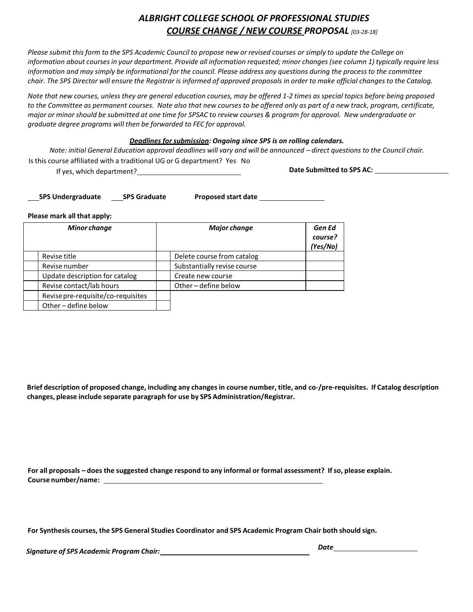# *ALBRIGHT COLLEGE SCHOOL OF PROFESSIONAL STUDIES COURSE CHANGE / NEW COURSE PROPOSAL [03-28-18]*

Please submit this form to the SPS Academic Council to propose new or revised courses or simply to update the College on information about courses in your department. Provide all information requested; minor changes (see column 1) typically require less information and may simply be informational for the council. Please address any questions during the process to the committee chair. The SPS Director will ensure the Registrar is informed of approved proposals in order to make official changes to the Catalog.

Note that new courses, unless they are general education courses, may be offered 1-2 times as special topics before being proposed to the Committee as permanent courses. Note also that new courses to be offered only as part of a new track, program, certificate, major or minor should be submitted at one time for SPSAC to review courses & program for approval. New undergraduate or *graduate degree programs will then be forwarded to FEC for approval.*

## *Deadlines for submission: Ongoing since SPS is on rolling calendars.*

Note: initial General Education approval deadlines will vary and will be announced - direct questions to the Council chair. Is this course affiliated with a traditional UG or G department? Yes No

If yes, which department? **Date Submitted to SPS AC:**

**SPS Undergraduate SPS Graduate Proposed start date** 

#### **Please mark all that apply:**

| <b>Minor change</b>                | <b>Major change</b>         | Gen Ed<br>course?<br>(Yes/No) |
|------------------------------------|-----------------------------|-------------------------------|
| Revise title                       | Delete course from catalog  |                               |
| Revise number                      | Substantially revise course |                               |
| Update description for catalog     | Create new course           |                               |
| Revise contact/lab hours           | Other - define below        |                               |
| Revise pre-requisite/co-requisites |                             |                               |
| Other - define below               |                             |                               |

Brief description of proposed change, including any changes in course number, title, and co-/pre-requisites. If Catalog description **changes, please include separate paragraph for use by SPS Administration/Registrar.**

For all proposals - does the suggested change respond to any informal or formal assessment? If so, please explain. **Course number/name:** 

**For Synthesis courses, the SPS General Studies Coordinator and SPS Academic Program Chair both should sign.**

*Signature of SPS Academic Program Chair:*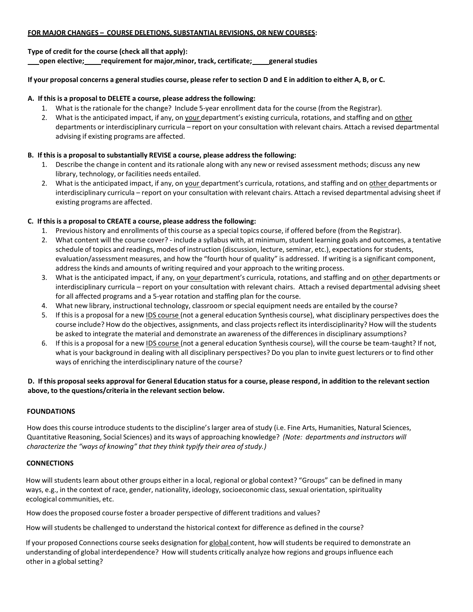## **FOR MAJOR CHANGES – COURSE DELETIONS, SUBSTANTIAL REVISIONS, OR NEW COURSES:**

**Type of credit for the course (check all that apply): open elective; requirement for major,minor, track, certificate; generalstudies**

## If your proposal concerns a general studies course, please refer to section D and E in addition to either A, B, or C.

## **A. If this is a proposal to DELETE a course, please addressthe following:**

- 1. What is the rationale for the change? Include 5-year enrollment data for the course (from the Registrar).
- 2. What is the anticipated impact, if any, on your department's existing curricula, rotations, and staffing and on other departments or interdisciplinary curricula – report on your consultation with relevant chairs. Attach a revised departmental advising if existing programs are affected.

# **B. If thisis a proposal to substantially REVISE a course, please addressthe following:**

- 1. Describe the change in content and itsrationale along with any new or revised assessment methods; discuss any new library, technology, or facilities needs entailed.
- 2. What is the anticipated impact, if any, on your department's curricula, rotations, and staffing and on other departments or interdisciplinary curricula – report on your consultation with relevant chairs. Attach a revised departmental advising sheet if existing programs are affected.

## **C. If this is a proposal to CREATE a course, please address the following:**

- 1. Previous history and enrollments of this course as a special topics course, if offered before (from the Registrar).
- 2. What content will the course cover? include a syllabus with, at minimum, student learning goals and outcomes, a tentative schedule of topics and readings, modes of instruction (discussion, lecture, seminar, etc.), expectations for students, evaluation/assessment measures, and how the "fourth hour of quality" is addressed. If writing is a significant component, addressthe kinds and amounts of writing required and your approach to the writing process.
- 3. What is the anticipated impact, if any, on your department's curricula, rotations, and staffing and on other departments or interdisciplinary curricula – report on your consultation with relevant chairs. Attach a revised departmental advising sheet for all affected programs and a 5-year rotation and staffing plan for the course.
- 4. What new library, instructional technology, classroom orspecial equipment needs are entailed by the course?
- 5. If this is a proposal for a new IDS course (not a general education Synthesis course), what disciplinary perspectives does the course include? How do the objectives, assignments, and class projects reflect its interdisciplinarity? How will the students be asked to integrate the material and demonstrate an awareness of the differences in disciplinary assumptions?
- 6. If this is a proposal for a new IDS course (not a general education Synthesis course), will the course be team-taught? If not, what is your background in dealing with all disciplinary perspectives? Do you plan to invite guest lecturers or to find other ways of enriching the interdisciplinary nature of the course?

# D. If this proposal seeks approval for General Education status for a course, please respond, in addition to the relevant section **above, to the questions/criteria in the relevant section below.**

# **FOUNDATIONS**

How does this course introduce students to the discipline's larger area of study (i.e. Fine Arts, Humanities, Natural Sciences, Quantitative Reasoning, Social Sciences) and its ways of approaching knowledge? *(Note: departments and instructors will characterize the "ways of knowing" that they think typify their area of study.)*

## **CONNECTIONS**

How will studentslearn about other groups either in a local, regional or global context? "Groups" can be defined in many ways, e.g., in the context of race, gender, nationality, ideology, socioeconomic class, sexual orientation, spirituality ecological communities, etc.

How doesthe proposed course foster a broader perspective of different traditions and values?

How will students be challenged to understand the historical context for difference as defined in the course?

If your proposed Connections course seeks designation for global content, how will students be required to demonstrate an understanding of global interdependence? How will students critically analyze how regions and groups influence each other in a global setting?